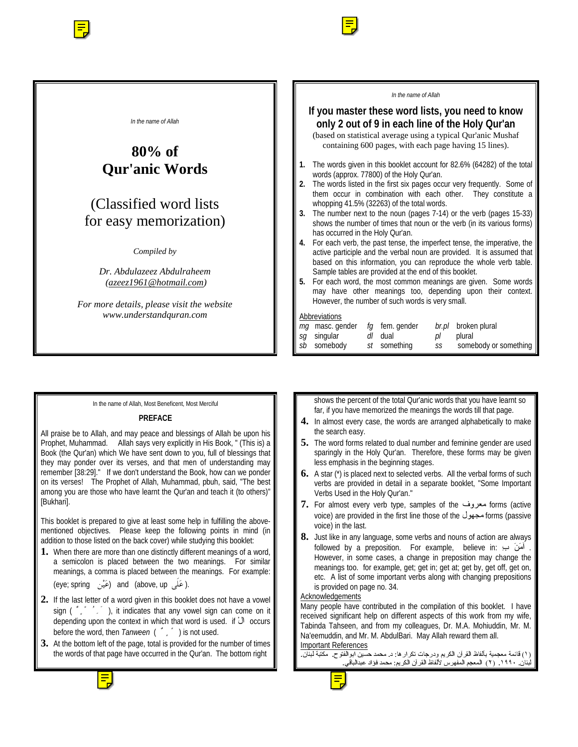

## In the name of Allah, Most Beneficent, Most Merciful

## **PREFACE**

All praise be to Allah, and may peace and blessings of Allah be upon his Prophet, Muhammad. Allah says very explicitly in His Book, " (This is) a Book (the Qur'an) which We have sent down to you, full of blessings that they may ponder over its verses, and that men of understanding may remember [38:29]." If we don't understand the Book, how can we ponder on its verses! The Prophet of Allah, Muhammad, pbuh, said, "The best among you are those who have learnt the Qur'an and teach it (to others)" [Bukhari].

This booklet is prepared to give at least some help in fulfilling the abovementioned objectives. Please keep the following points in mind (in addition to those listed on the back cover) while studying this booklet:

**1.** When there are more than one distinctly different meanings of a word, a semicolon is placed between the two meanings. For similar meanings, a comma is placed between the meanings. For example:

(eye; spring (عَيْن) and (above, up (عَلَى).

- **2.** If the last letter of a word given in this booklet does not have a vowel sign (",""), it indicates that any vowel sign can come on it depending upon the context in which that word is used. if ْال occurs before the word, then *Tanween* ( ٌ ٍ ً ) is not used.
- **3.** At the bottom left of the page, total is provided for the number of times the words of that page have occurred in the Qur'an. The bottom right

shows the percent of the total Qur'anic words that you have learnt so far, if you have memorized the meanings the words till that page.

- **4.** In almost every case, the words are arranged alphabetically to make the search easy.
- **5.** The word forms related to dual number and feminine gender are used sparingly in the Holy Qur'an. Therefore, these forms may be given less emphasis in the beginning stages.
- **6.** A star (\*) is placed next to selected verbs. All the verbal forms of such verbs are provided in detail in a separate booklet, "Some Important Verbs Used in the Holy Qur'an."
- **7.** For almost every verb type, samples of the معروف forms (active voice) are provided in the first line those of the مجهول voice) are provided in the first line those of the voice) in the last.
- **8.** Just like in any language, some verbs and nouns of action are always followed by a preposition. For example, believe in: أَمَنَ ب However, in some cases, a change in preposition may change the meanings too. for example, get; get in; get at; get by, get off, get on, etc. A list of some important verbs along with changing prepositions is provided on page no. 34.

# **Acknowledgements**

Many people have contributed in the compilation of this booklet. I have received significant help on different aspects of this work from my wife, Tabinda Tahseen, and from my colleagues, Dr. M.A. Mohiuddin, Mr. M. Na'eemuddin, and Mr. M. AbdulBari. May Allah reward them all. Important References

كرارها: د. محمد حسين ابوالنوح. مكتبه لبنان.<br>الكبيبين منذ فكان عنداللة ر دیا ساخت مسیحید استانستان استان بیشترین استان به ساخت استان به این آن<br>استان ساخته ۱۹۹۰ (۷۰) بالاستان بالدهید بیشتر المکانتا بالاندازه #4!-\*-567\*+" 12 30#-../#,-

![](_page_0_Picture_19.jpeg)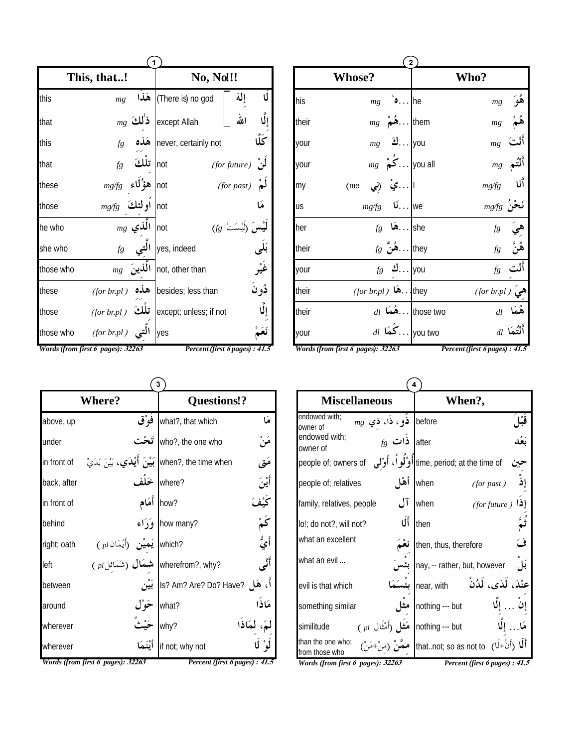|           | This, that!                       | No, No!!!               |                                |  |  |  |
|-----------|-----------------------------------|-------------------------|--------------------------------|--|--|--|
| this      | mg                                | There is) no god) هَذَا | Ú<br>إلة                       |  |  |  |
| that      | $_{mg}$ ذٰلك                      | except Allah            | الله                           |  |  |  |
| this      | هَذه<br>fg                        | never, certainly not    | ػۘڵۛ                           |  |  |  |
| that      | تلكَ<br>$f\!g$                    | not                     | $(for future)$ <sup>2</sup>    |  |  |  |
| these     | هؤ'لاء<br>mg/g                    | not                     | $(for$ past $)$                |  |  |  |
| those     | أو لئكَ<br>mg/g                   | not                     |                                |  |  |  |
| he who    | $mg$ الَّذي not                   | $(fg \circ$ ت           |                                |  |  |  |
| she who   | fg                                | yes, indeed التي        |                                |  |  |  |
| those who | الَّذِينَ<br>mg                   | not, other than         | ۼٞؽ۠ڔ                          |  |  |  |
| these     | (for br.pl)                       | besides; less than هذه  | ڏونَ                           |  |  |  |
| those     | تلكَ<br>(for brpl)                | except; unless; if not  | ٳڵؙۛٳ                          |  |  |  |
| those who | (for br.pl)                       | yes                     |                                |  |  |  |
|           | Words (from first 6 pages): 32263 |                         | Percent (first 6 pages) : 41.5 |  |  |  |

|       | $\overline{2}$                                                  |                        |                       |  |  |  |  |
|-------|-----------------------------------------------------------------|------------------------|-----------------------|--|--|--|--|
|       | <b>Whose?</b>                                                   | Who?                   |                       |  |  |  |  |
| his   | $\bullet$ he<br>mg                                              |                        | $mg$ هُوَ             |  |  |  |  |
| their | $mg \stackrel{\circ}{\bullet} \stackrel{\circ}{\bullet} \cdots$ | them<br>mg             | ۿؙمٌ                  |  |  |  |  |
| your  | $mg$ 3 you                                                      |                        | $_{mg}$ أَنْت         |  |  |  |  |
| your  | $mg \left  \sum_{i=1}^{n} \right $ you all                      |                        | $mg$ أَنْتُم          |  |  |  |  |
| my    | ا …يْ (نِي<br>(me                                               | $_{mg\!/\!\!/g}$ أَنَا |                       |  |  |  |  |
| us    | $mg/g$ we                                                       | $_{mg\!f\!g}$ نَحْنُ   |                       |  |  |  |  |
| her   | $fg$ هَا $\ldots$ she                                           |                        | $f$ هِيَ<br>هُنَّ $f$ |  |  |  |  |
| their | $f$ 8 هُنْ. khey                                                |                        |                       |  |  |  |  |
| your  | $fg$ 3 you                                                      |                        | $f$ أَنْت             |  |  |  |  |
| their | for br.pl) (a they                                              | هي (for br.pl)         |                       |  |  |  |  |
| their | $dl$ أَمْهَا $\ldots$ those two                                 |                        | $dl$ هُمَا            |  |  |  |  |
| your  | $_{dl}$ كُمَا $\ldots$                                          | you two                | $dl$ أَنْتُمَا $l$    |  |  |  |  |

 $\widehat{\mathbf{3}}$ Questions!? Where? what?, that which فَوْق هَا above, up who?, the one who تَحْت مَنْ under when?, the time when بَيْنَ أَيْدَي، بَيْنَ يَدَيْ مَتى in front of where? ّه ٍ<br>**ين** back, after how? أَمَام ڬؽ in front of كَمْ<br>أَيُّ how many? behind  $(pl)$ يَميْن (أَيْمَان (pl ) right; oath أَنَّى ( سَمَائِل ( سَمَائِل ( سَمَائِل ) wherefrom?, why? left أَ، هَل ?B? Am? Are? Do? Have! بَيْن between ځوْل مَاذَا what? around مَ، لَمَاذَا why? wherever lif not; why not IJ wherever لو Words (from first 6 pages): 32263 Percent (first 6 pages) : 41.5 Words (from first 6 pages): 32263

Percent (first 6 pages) : 41.5

| 4                                                                        |                                                                                                       |  |  |  |  |
|--------------------------------------------------------------------------|-------------------------------------------------------------------------------------------------------|--|--|--|--|
| <b>Miscellaneous</b>                                                     | When?,                                                                                                |  |  |  |  |
| endowed with;<br>$mg$ فو، ذا، ذي before<br>owner of                      |                                                                                                       |  |  |  |  |
| endowed with;<br>$f$ ذات after<br>owner of                               |                                                                                                       |  |  |  |  |
| people of; owners of                                                     | time, period; at the time ofأوْلُو أَ، أُوْلَى                                                        |  |  |  |  |
| أهْل<br>people of; relatives                                             | ِ<br>إِذْ<br>when<br>(for past)                                                                       |  |  |  |  |
| آل<br>family, relatives, people                                          | when<br>(for future)                                                                                  |  |  |  |  |
| أَلَا<br>lo!; do not?, will not?                                         | then                                                                                                  |  |  |  |  |
| what an excellent                                                        | ف<br>then, thus, therefore                                                                            |  |  |  |  |
| what an evil                                                             | بَل<br>nay, -- rather, but, however                                                                   |  |  |  |  |
| evil is that which                                                       | عِنْدَ، لَدَى، لَدُنْ<br>near, with                                                                   |  |  |  |  |
| something similar                                                        | nothing --- but                                                                                       |  |  |  |  |
| مَثْل (أَمْثَال pl )<br>similitude                                       | nothing --- but                                                                                       |  |  |  |  |
| than the one who;<br>from those who<br>Words (from first 6 nages): 32263 | أَلَا  (أَنْ+لَا)   hatnot; so as not toإِ ممَّنْ  (منْ+مَنْ)<br>Percent (first 6 nages) $\cdot$ 41.5 |  |  |  |  |

- page

nt (jirst opages) : 41. .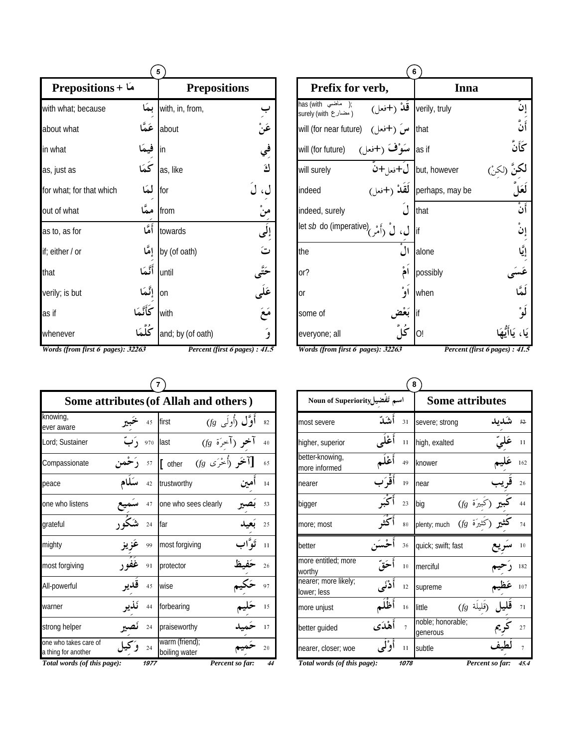| 5                                 |            |                     |                                |  |
|-----------------------------------|------------|---------------------|--------------------------------|--|
| <b>Prepositions</b> + $\lambda$   |            | <b>Prepositions</b> |                                |  |
| with what; because                | بمكا       | with, in, from,     |                                |  |
| about what                        | عَمَّا     | about               | عَنْ<br>في<br>كَ               |  |
| in what                           | فيمَ       | lin                 |                                |  |
| as, just as                       | .<br>كَمَا | as, like            |                                |  |
| for what; for that which          | لمكا       | for                 |                                |  |
| out of what                       | ممَّا      | from                | مَنْ<br>إِلَى                  |  |
| as to, as for                     | أَمَّا     | towards             |                                |  |
| if; either / or                   | إِمَّا     | by (of oath)        | ت                              |  |
| that                              | أَنَّمَا   | until               |                                |  |
| verily; is but                    | إِنَّمَا   | lon                 |                                |  |
| as if                             | كَأَنَّمَا | with                | حَتَّى<br>عَلَى<br>مَعَ        |  |
| whenever                          | كُلَّمَا   | and; by (of oath)   |                                |  |
| Words (from first 6 pages): 32263 |            |                     | Percent (first 6 pages) : 41.5 |  |

| 6                                                                                                                              |                          |                                |                          |  |  |
|--------------------------------------------------------------------------------------------------------------------------------|--------------------------|--------------------------------|--------------------------|--|--|
| Prefix for verb,                                                                                                               |                          | Inna                           |                          |  |  |
| nas (with إِنَّهُ (الْمَسْنَسِيَّة);<br>surely (with الله ); (مضارع surely (with الله )<br>will (for near future) (الله ) (hat |                          |                                | إن                       |  |  |
|                                                                                                                                |                          |                                | رَ<br>أَنَّ              |  |  |
| will (for future)                                                                                                              | as if سَوْفَ (+فعل)      |                                | كَأَنَّ                  |  |  |
| will surely                                                                                                                    |                          | but, however ل+فعل+ن           |                          |  |  |
| indeed                                                                                                                         |                          | perhaps, may be لَقَلاْ (+فعل) | لَعَلَ                   |  |  |
| indeed, surely                                                                                                                 |                          | that                           | أَنْ                     |  |  |
| let <i>sb</i> do (imperative) (أَمْر /let <i>sb</i> do (imperative)                                                            |                          |                                | $\mathring{\omega}$ إِنْ |  |  |
| the                                                                                                                            | $\overline{\mathcal{U}}$ | alone                          |                          |  |  |
| or?                                                                                                                            | أمُ                      | possibly                       |                          |  |  |
| <sub>or</sub>                                                                                                                  | أوْ                      | when                           | ِ<br>لَمَّا              |  |  |
| some of                                                                                                                        |                          | if                             | لَو°                     |  |  |
| everyone; all                                                                                                                  |                          | O!                             |                          |  |  |
| Words (from first 6 pages): 32263<br>Percent (first 6 pages) : 41.5                                                            |                          |                                |                          |  |  |

|                                              |                                       |      | 7                                    |                    |    |  |  |  |
|----------------------------------------------|---------------------------------------|------|--------------------------------------|--------------------|----|--|--|--|
|                                              | Some attributes (of Allah and others) |      |                                      |                    |    |  |  |  |
| knowing,<br>ever aware                       |                                       | 45   | first                                | أَوَّل (أُولَى $f$ | 82 |  |  |  |
| Lord; Sustainer                              | د َ ت                                 | 970  | llast<br>فو (اخرَة fg)               |                    | 40 |  |  |  |
| Compassionate                                |                                       | 57   | $(f$ خو (أُخْرَى $f$<br>$\int$ other |                    | 65 |  |  |  |
| peace                                        |                                       | 42   | trustworthy                          | امين               | 14 |  |  |  |
| one who listens                              |                                       | 47   | one who sees clearly                 |                    | 53 |  |  |  |
| grateful                                     |                                       | 24   | far                                  |                    | 25 |  |  |  |
| mighty                                       |                                       | 99   | most forgiving                       | تَوَّاب            | 11 |  |  |  |
| most forgiving                               |                                       | 91   | protector                            |                    | 26 |  |  |  |
| All-powerful                                 |                                       | 45   | wise                                 |                    | 97 |  |  |  |
| warner                                       |                                       | 44   | forbearing                           |                    | 15 |  |  |  |
| strong helper                                |                                       | 24   | praiseworthy                         |                    | 17 |  |  |  |
| one who takes care of<br>a thing for another |                                       | 24   | warm (friend);<br>boiling water      |                    | 20 |  |  |  |
| Total words (of this page):                  |                                       | 1977 |                                      | Percent so far:    | 44 |  |  |  |

| 8                                   |          |                |                               |                                                     |                |  |  |
|-------------------------------------|----------|----------------|-------------------------------|-----------------------------------------------------|----------------|--|--|
| اسم تَفضيلNoun of Superiority       |          |                | <b>Some attributes</b>        |                                                     |                |  |  |
| most severe                         | أشدّ     | 31             | severe; strong                |                                                     | 52             |  |  |
| higher, superior                    | أَعْلَى  | 11             | high, exalted                 |                                                     | 11             |  |  |
| better-knowing,<br>more informed    |          | 49             | knower                        |                                                     | 162            |  |  |
| nearer                              | أَقْوَرَ | 19             | near                          |                                                     | 26             |  |  |
| bigger                              |          | 23             | big                           | کبيرَة <i>(fg</i>                                   | 44             |  |  |
| more; most                          |          | 80             | plenty; much                  |                                                     | 74             |  |  |
| better                              |          | 36             | quick; swift; fast            |                                                     | 10             |  |  |
| more entitled; more<br>worthy       |          | 10             | merciful                      |                                                     | 182            |  |  |
| nearer; more likely;<br>lower; less | أُدْنَى  | 12             | supreme                       |                                                     | 107            |  |  |
| more unjust                         |          | 16             | little                        | $(f{\!\scriptstyle{g}}^{\phantom{\dag}}$ رَقَليلَة) | 71             |  |  |
| better guided                       | أَهْدَى  | $\overline{7}$ | noble; honorable;<br>generous |                                                     | 27             |  |  |
| nearer, closer; woe                 | أو ْ ل   | 11             | subtle                        |                                                     | $\overline{7}$ |  |  |
| Total words (of this page):         |          | 1078           |                               | Percent so far:                                     | 45.4           |  |  |

## otal words (of this page):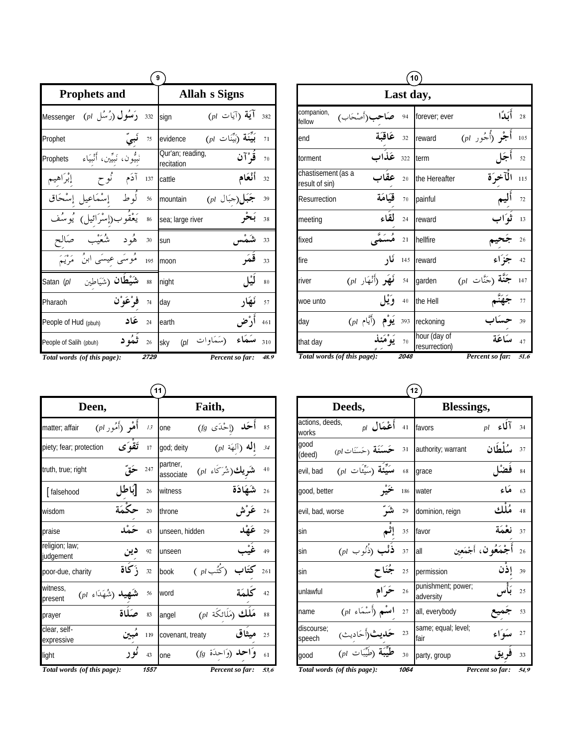|                                                        | 9                                                 |            |                                |                                                                                 |     |  |  |  |
|--------------------------------------------------------|---------------------------------------------------|------------|--------------------------------|---------------------------------------------------------------------------------|-----|--|--|--|
|                                                        | <b>Prophets and</b>                               |            | <b>Allah s Signs</b>           |                                                                                 |     |  |  |  |
| Messenger                                              | $(\rho l \downarrow \downarrow \downarrow)$ رُسُل | 332        | sign                           | $(\rho l$ آيَة $(\bar{l})$ يات                                                  | 382 |  |  |  |
| Prophet                                                |                                                   | 75         | evidence                       | $(\rho l$ بَيِّنَة $\widetilde{\mathcal{C}}$ بِيِّنَة $\widetilde{\mathcal{C}}$ | 71  |  |  |  |
| Prophets                                               | نَبِيُّون، نَبِيِّين، أَنْبِيَاءِ                 |            | Qur'an; reading,<br>recitation | قَوْآن                                                                          | 70  |  |  |  |
| إبراهيم                                                | آدَم نُوح                                         | 137        | cattle                         | أنْعَام                                                                         | 32  |  |  |  |
|                                                        | أوط إسْمَاعيل إسْحَاق                             | 56         | mountain                       | جَبَل(جَبَال pl)                                                                | 39  |  |  |  |
| و ممُفر                                                | يَعْقُوب(إسْرَائِيل)                              | 86         | sea; large river               |                                                                                 | 38  |  |  |  |
| صَالح                                                  | و ره<br>پښه<br>هُود                               | 30         | sun                            |                                                                                 | 33  |  |  |  |
|                                                        | مُوسَى عيسَى ابنُ ۖ مَرْيَمَ                      | 195        | moon                           | قمَہ                                                                            | 33  |  |  |  |
| Satan (pl                                              | <b>شَيْطان (</b> شَيَاطين                         | 88         | night                          |                                                                                 | 80  |  |  |  |
| Pharaoh                                                | فرْعَوْن                                          | 74         | day                            | ئىھار                                                                           | 57  |  |  |  |
| People of Hud (pbuh)                                   |                                                   | عَاد<br>24 | earth                          | أدْض                                                                            | 461 |  |  |  |
| People of Salih (pbuh)                                 | ٹمُو د                                            | 26         | sky                            | (سَمَاوات <sub>pl</sub> )                                                       | 310 |  |  |  |
| Total words (of this page):<br>Percent so far:<br>2729 |                                                   |            |                                |                                                                                 |     |  |  |  |

| 10                                   |                                                                               |      |                               |                    |      |  |  |
|--------------------------------------|-------------------------------------------------------------------------------|------|-------------------------------|--------------------|------|--|--|
|                                      |                                                                               |      | Last day,                     |                    |      |  |  |
| companion,<br>fellow                 | ب(أَصْحَابٍ)                                                                  | 94   | forever; ever                 | أَكَدًا            | 28   |  |  |
| end                                  | عَاقِبَة                                                                      | 32   | reward                        | أجْو (أُجُور pl)   | 105  |  |  |
| torment                              | عَذَاب                                                                        | 322  | term                          | أجَا               | 52   |  |  |
| chastisement (as a<br>result of sin) | عقا                                                                           | 20   | the Hereafter                 | الآخرَة            | 115  |  |  |
| Resurrection                         | قيَامَة                                                                       | 70   | painful                       |                    | 72   |  |  |
| meeting                              | لقاء                                                                          | 24   | reward                        |                    | 13   |  |  |
| fixed                                |                                                                               | 21   | hellfire                      |                    | 26   |  |  |
| fire                                 | ئار                                                                           | 145  | <b>reward</b>                 |                    | 42   |  |  |
| river                                | $\left(\begin{smallmatrix}pl & 1 \end{smallmatrix}\right)$ نَّهَهُو (أَنْهَار | 54   | garden                        | $(pl \;$ (جَنَّات) | 147  |  |  |
| woe unto                             |                                                                               | 40   | the Hell                      |                    | 77   |  |  |
| day                                  | $(\rho l$ أَيَّام)<br>يَوْم                                                   | 393  | reckoning                     |                    | 39   |  |  |
| that day                             |                                                                               | 70   | hour (day of<br>resurrection) | يسكاءَة            | 47   |  |  |
| Total words (of this page):          |                                                                               | 2048 |                               | Percent so far:    | 51.6 |  |  |

| 11                                           |         |      |                       |                                                         |                          |      |  |
|----------------------------------------------|---------|------|-----------------------|---------------------------------------------------------|--------------------------|------|--|
| Deen,                                        |         |      | Faith,                |                                                         |                          |      |  |
| أُهْوِ (أَمُور pl)<br>matter; affair         |         | 13   | one                   | أَحَ <b>د</b> (إحْدَى fg)                               |                          | 85   |  |
| piety; fear; protection                      | تَقْوَى | 17   | god; deity            |                                                         | $($ إِلَٰه (آلهَة $\rho$ | 34   |  |
| truth, true; right                           |         | 247  | partner,<br>associate | <b>يك(</b> شَرَكَاء pl)                                 |                          | 40   |  |
| [falsehood                                   |         | 26   | witness               |                                                         | شَهَادَة                 | 26   |  |
| wisdom                                       |         | 20   | throne                |                                                         |                          | 26   |  |
| praise                                       |         | 43   | unseen, hidden        |                                                         |                          | 29   |  |
| religion; law;<br>judgement                  | دين     | 92   | unseen                |                                                         |                          | 49   |  |
| poor-due, charity                            | زكاة    | 32   | book                  | کُتُب pl )                                              |                          | 261  |  |
| witness,<br>$(\rho l$ (شُهَدَاء )<br>present |         | 56   | word                  |                                                         |                          | 42   |  |
| prayer                                       | صكاة    | 83   | angel                 | $_{\left( pl\right) }$ مَلَك $_{\left( 1\right) }$ نكَة |                          | 88   |  |
| clear, self-<br>expressive                   |         | 119  | covenant, treaty      |                                                         | مبثاق                    | 25   |  |
| light                                        |         | 43   | one                   | وَاحد (وَاحدَة fg)                                      |                          | 61   |  |
| Total words (of this page):                  |         | 1557 |                       |                                                         | Percent so far:          | 53.6 |  |

|                          |                                                      |      | 12)                             |                        |
|--------------------------|------------------------------------------------------|------|---------------------------------|------------------------|
|                          | Deeds,                                               |      | Blessings,                      |                        |
| actions, deeds,<br>works | أَعْمَال $\rho$                                      | 41   | favors                          | آلاء<br>pl             |
| aood<br>(deed)           | $(\rho l$ حَسَنَة $\widetilde{\mathcal{E}}$ حَسَنَات | 31   | authority; warrant              | سلطان                  |
| evil, bad                | $(pl$ سَنِّئَة (سَنِّئَات)                           | 68   | grace                           |                        |
| good, better             |                                                      | 186  | water                           | مَاءِ                  |
| evil, bad, worse         |                                                      | 29   | dominion, reign                 | مُألو،                 |
| sin                      | إثم                                                  | 35   | favor                           | نعْمَة                 |
| sin                      | $(pl \; \hookrightarrow)$ ذُنُوب                     | 37   | all                             | أَجْمَعُو ن، أَجْمَعين |
| sin                      |                                                      | 25   | permission                      | إذن                    |
| unlawful                 | ځر ًام                                               | 26   | punishment; power;<br>adversity |                        |
| name                     | $(\mathit{pl} \,$ اسْم (أَسْمَاء ا                   | 27   | all, everybody                  |                        |
| discourse;<br>speech     | <b>حَلايث</b> (أَحَادِيث <sub>)</sub>                | 23   | same; equal; level;<br>fair     | ميئوَاءِ               |
| good                     | $\overline{(pl - 1)^{2}L}$                           | 30   | party, group                    |                        |
|                          | Total words (of this page):                          | 1064 |                                 | Percent so far:        |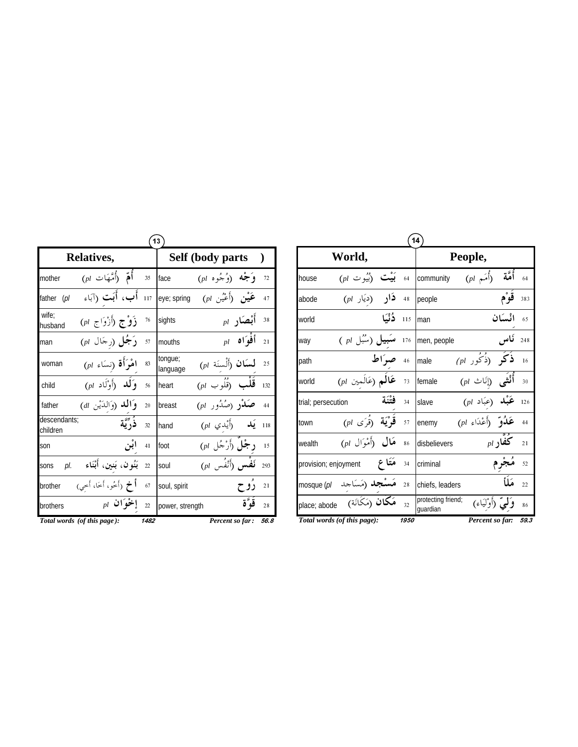| 13                       |                                                       |      |                     |                                                                                                                                                                                         |                  |      |  |
|--------------------------|-------------------------------------------------------|------|---------------------|-----------------------------------------------------------------------------------------------------------------------------------------------------------------------------------------|------------------|------|--|
|                          | Relatives,                                            |      |                     | Self (body parts                                                                                                                                                                        |                  |      |  |
| mother                   | $(pl$ أُهَمْ (أُمَّهَات                               | 35   | face                | <b>وَجْه (وُ</b> جُوه pl)                                                                                                                                                               |                  | 72   |  |
| father<br>(pl            | أَبٍ، أَبَت (آبَاء                                    | 117  |                     | eye; spring $(pl)$ عَيْنِ وَأَعْيُنِ عَيْنَ فَيْنَ مَنْ اللَّهُ                                                                                                                         |                  | 47   |  |
| wife:<br>husband         | <b>زَوْجِ</b> (أَزْوَاجِ pl)                          | 76   | sights              |                                                                                                                                                                                         | $_{pl}$ أَبْصَار | 38   |  |
| man                      | $(\rho l$ (رجَال $\rho$                               | 57   | mouths              |                                                                                                                                                                                         | $_{pl}$ أَفْوَاه | 21   |  |
| woman                    | $(\mathit{pl} \text{ (ind) } \text{ (ind) }$ اهْرَأَة | 83   | tongue;<br>language | لسَان (أَلْسنَة pl)                                                                                                                                                                     |                  | 25   |  |
| child                    | $(\rho l$ وَ <b>لَلد</b> (أَوْلَاد                    | 56   | heart               | $(\rho l \; \hookrightarrow \; \stackrel{\iota}{\text{cl}} \; \stackrel{\iota}{\text{cl}} \; \stackrel{\iota}{\text{cl}} \; \stackrel{\iota}{\text{cl}} \; \stackrel{\iota}{\text{cl}}$ |                  | 132  |  |
| father                   | وَ <b>الله</b> (وَالدَّيْنِ al)                       | 20   | breast              | $(\rho l + \hat{\mu} \hat{\lambda} \hat{\mu})$ صَلاْدِ                                                                                                                                  |                  | 44   |  |
| descendants:<br>children | ذُدِّيَّة                                             | 32   | hand                | أُيْدي pl)                                                                                                                                                                              |                  | 118  |  |
| son                      |                                                       | 41   | foot                | د جُلٌ (أَرْجُل pl)                                                                                                                                                                     |                  | 15   |  |
| pl.<br>sons              | بَنُون، بَنين، أَبْنَاء                               | 22   | soul                | $(\rho l \quad \hat{J}$ لَفْس $\hat{J}$                                                                                                                                                 |                  | 293  |  |
| brother                  | <b>أخ</b> (أَخُو، أَخَا، أَخي)                        | 67   | soul, spirit        |                                                                                                                                                                                         | روح              | 21   |  |
| brothers                 | $_{pl}$ إخوان                                         | 22   | power, strength     |                                                                                                                                                                                         |                  | 28   |  |
|                          | Total words (of this page):                           | 1482 |                     | Percent so far:                                                                                                                                                                         |                  | 56.8 |  |

|                                                                                            |         | 14                                                                                                                                                                                                                                                                                                                                                                                                                                                                                                                   |
|--------------------------------------------------------------------------------------------|---------|----------------------------------------------------------------------------------------------------------------------------------------------------------------------------------------------------------------------------------------------------------------------------------------------------------------------------------------------------------------------------------------------------------------------------------------------------------------------------------------------------------------------|
| World,                                                                                     |         | People,                                                                                                                                                                                                                                                                                                                                                                                                                                                                                                              |
| $\left(\begin{smallmatrix}pl&\mathbb{C}\end{smallmatrix}\right)$ بَيْت (أَيُبُو ن<br>house | 64      | $(\rho l \not\stackrel{\frown}{\hspace{-1.25em} \frown} \mathring{\!\!{\scriptstyle\Box}}\, \delta)$<br>community<br>64                                                                                                                                                                                                                                                                                                                                                                                              |
| $($ دار (دیار $)$<br>abode                                                                 | 48      | قوْم<br>383<br>people                                                                                                                                                                                                                                                                                                                                                                                                                                                                                                |
| دُنْيَا<br>world                                                                           | 115     | ائسكان<br>65<br>man                                                                                                                                                                                                                                                                                                                                                                                                                                                                                                  |
| <b>سَبِيل (سُ</b> بُل pl )<br>way                                                          | 176     | ناس<br>248<br>men, people                                                                                                                                                                                                                                                                                                                                                                                                                                                                                            |
| path                                                                                       | 46 صراط | $\epsilon(pl)$ ذُكُور (<br>male<br>16                                                                                                                                                                                                                                                                                                                                                                                                                                                                                |
| عَالَمِ (عَالَمين pl)<br>world                                                             | 73      | $(\mathit{pl} \hspace{2pt} \bigcirc \hspace{2pt} \bigcirc \hspace{2pt} \bigcirc \hspace{2pt} \bigcirc \hspace{2pt} \bigcirc \hspace{2pt} \bigcirc \hspace{2pt} \bigcirc \hspace{2pt} \bigcirc \hspace{2pt} \bigcirc \hspace{2pt} \bigcirc \hspace{2pt} \bigcirc \hspace{2pt} \bigcirc \hspace{2pt} \bigcirc \hspace{2pt} \bigcirc \hspace{2pt} \bigcirc \hspace{2pt} \bigcirc \hspace{2pt} \bigcirc \hspace{2pt} \bigcirc \hspace{2pt} \bigcirc \hspace{2pt} \bigcirc \hspace{2pt} \bigcirc \hspace$<br>female<br>30 |
| فتنة<br>trial; persecution                                                                 | 34      | $($ عَبْلہ (عبَاد $\rho$<br>slave<br>126                                                                                                                                                                                                                                                                                                                                                                                                                                                                             |
| $p$ فَوْيَة (قُرَى $p$<br>town                                                             | 57      | $(\rho l \,$ عَلُوتَ (أَعْدَاءِ $\rho l$<br>44<br>enemy                                                                                                                                                                                                                                                                                                                                                                                                                                                              |
| $($ هَال (أَمْوَال $)$<br>wealth                                                           | 86      | $_{pl}$ كفار<br>disbelievers<br>21                                                                                                                                                                                                                                                                                                                                                                                                                                                                                   |
| مَتَا ع<br>provision; enjoyment                                                            | 34      | criminal<br>52                                                                                                                                                                                                                                                                                                                                                                                                                                                                                                       |
| <b>مَسْجِد (مَ</b> سَاجد mosque ( <i>pl</i>                                                | 28      | مَلَأ<br>22<br>chiefs, leaders                                                                                                                                                                                                                                                                                                                                                                                                                                                                                       |
| <b>مَكَان</b> (مَكَانَة)<br>place; abode                                                   | 32      | protecting friend;<br>وَلَّعِيٌّ (أَوْلَيَاءَ)<br>86<br>quardian                                                                                                                                                                                                                                                                                                                                                                                                                                                     |
| Total words (of this page):                                                                | 1950    | 59.3<br>Percent so far:                                                                                                                                                                                                                                                                                                                                                                                                                                                                                              |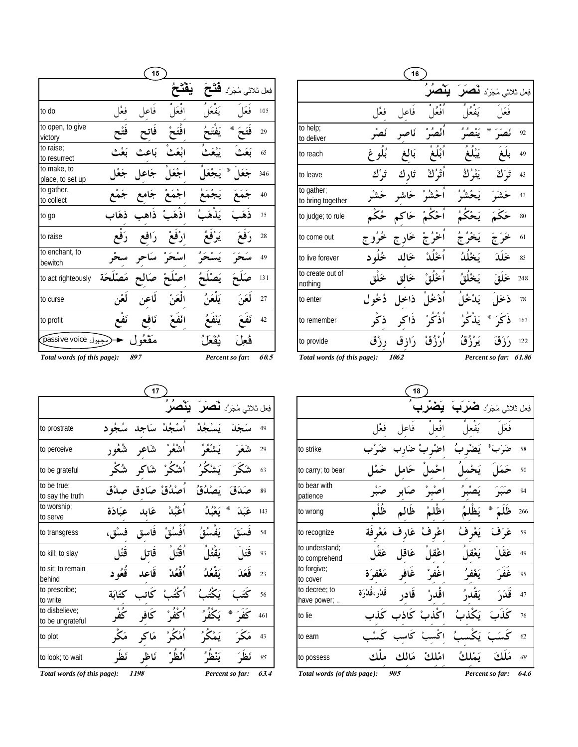|                                 |      | 15   |       |                                |      |
|---------------------------------|------|------|-------|--------------------------------|------|
|                                 |      |      |       | فِعل ثلاثي مُجَرَّد <b>ڤ</b> ا |      |
| to do                           | فعا  | فاعا | افعًا |                                | 105  |
| to open, to give<br>victory     |      |      |       | ⋇                              | 29   |
| to raise;<br>to resurrect       |      |      |       |                                | 65   |
| to make, to<br>place, to set up |      |      |       | ∗                              | 346  |
| to gather,<br>to collect        |      |      |       |                                | 40   |
| to go                           |      |      |       |                                | 35   |
| to raise                        |      |      |       |                                | 28   |
| to enchant, to<br>bewitch       |      |      |       |                                | 49   |
| to act righteously              | يحَة |      |       |                                | 131  |
| to curse                        |      |      |       |                                | 27   |
| to profit                       |      |      |       |                                | 42   |
| وجهول passive voice             |      |      |       |                                |      |
| Total words (of this page):     |      | 897  |       | Percent so far:                | 60.5 |

|                                 |          | 16        |                 |           |                                 |       |
|---------------------------------|----------|-----------|-----------------|-----------|---------------------------------|-------|
|                                 |          |           | ۶<br>۶<br>⊶     |           | فِعل ثلاثي مُجَرَّد <b>لَمُ</b> |       |
|                                 | فعْل     | فاعل      | افعًا           |           | فعا                             |       |
| to help;<br>to deliver          |          | ئا        |                 | $\circ$   | ☀                               | 92    |
| to reach                        |          |           |                 |           |                                 | 49    |
| to leave                        | تَرْ ك   | تَار<br>ك | اَتْ َۢكْ       | يثو<br>كُ | تَرَ ٰكَ                        | 43    |
| to gather;<br>to bring together |          |           |                 |           |                                 | 43    |
| to judge; to rule               | ځک       | ځاکه      |                 |           |                                 | 80    |
| to come out                     | فوو<br>ج |           |                 |           |                                 | 61    |
| to live forever                 | ځله د    | يئرا      | أيذأن           |           |                                 | 83    |
| to create out of<br>nothing     | خە       |           |                 |           |                                 | 248   |
| to enter                        | دُخُو ل  | ذاخل      |                 |           |                                 | 78    |
| to remember                     | ذ′       | ذاكه      | ذ <b>َ</b> کُ ُ |           | ∗                               | 163   |
| to provide                      | رزق      | رَازِ ق   | ارْزُقْ         |           |                                 | 122   |
| Total words (of this page):     |          | 1062      |                 |           | Percent so far:                 | 61.86 |

|                                    |         | 17                       |          |          |                                     |      |
|------------------------------------|---------|--------------------------|----------|----------|-------------------------------------|------|
|                                    |         |                          |          |          | فِعل ثلاثی مُجَرَّد <b>لْمُصَلَ</b> |      |
| to prostrate                       | سُجُه د | ر<br>اسْجُلْ سَاجِد      |          | يَسْجُدُ |                                     | 49   |
| to perceive                        | شُعُو ۱ | أشْعُوْ شَاعو            |          | يَشْعُوُ | شَعَرَ                              | 29   |
| to be grateful                     |         | اُشْكُرْ شَاكر شُكْر     |          | يَشْكُرُ | شک                                  | 63   |
| to be true;<br>to say the truth    |         | أصْدُقْ صَادق صِدْق      |          | ىَصْدُقُ | ۆ،                                  | 89   |
| to worship;<br>to serve            |         | أَعْبُلْ عَابِد عِبَادَة |          | يَعْبُدُ | ₩<br>عَبَدَ                         | 143  |
| to transgress                      | فسْق،   | فاسق                     | أفسُة ْ  | يَفْسُقُ | فستة                                | 54   |
| to kill; to slay                   |         | قَاتل قَتْل              | اُقْتُلَ | بَقْتُا  | قَتَا                               | 93   |
| to sit; to remain<br>behind        |         | قَاعد ڤُعُود             | ٱقْعُدْ  | كَقْعُدُ | قَعَدَ                              | 23   |
| to prescribe;<br>to write          | كتائة   | كاتب                     |          |          | ىخ                                  | 56   |
| to disbelieve;<br>to be ungrateful |         | كافر                     | كفى ٌ    |          | ₩                                   | 461  |
| to plot                            | مَکْ    | مَاكِر                   |          | یُمُکُ   | مَکَ                                | 43   |
| to look; to wait                   | نَظُ    | ناظه                     | ٱنْظَى   | $\circ$  |                                     | 95   |
| Total words (of this page):        |         | 1198                     |          |          | Percent so far:                     | 63.4 |

|                                 |                 | 18          |                |          |                 |            |
|---------------------------------|-----------------|-------------|----------------|----------|-----------------|------------|
|                                 |                 |             |                |          | مُجَرَّد        | فِعل ثلاثي |
|                                 | فعا             | فاعل        | افعا           |          | فعا             |            |
| to strike                       |                 | و بْ ضَار   | اضٌ            |          |                 | 58         |
| to carry; to bear               |                 | ځام         | اخما           | یَ       |                 | 50         |
| to bear with<br>patience        |                 |             |                |          |                 | 94         |
| to wrong                        | ظُلْم           | ظالہ        |                |          | ₩               | 266        |
| to recognize                    | مَعْر فَة       |             | اعْرِفْ عَارِف | يَعْرِفُ | عَدَفَ          | 59         |
| to understand;<br>to comprehend | عَق             | عَاقا       | اعْقا          | بَعْة    | عَقا            | 49         |
| to forgive;<br>to cover         | مَغْفِرَة       | غَافو       | اغفىش          | يَغْفُهُ | غف              | 95         |
| to decree; to<br>have power;    | قَدْرِ ،قُدْرَة | قادر        | اڦدڻ           | بَق      |                 | 47         |
| to lie                          |                 | كْذبْ كَاذب |                |          |                 | 76         |
| to earn                         |                 | کا          |                |          |                 | 62         |
| to possess                      | ملك             |             | امْلِكْ مَالِك | ىَسْلِكُ | ەك<br>ی         | 49         |
| Total words (of this page):     |                 | 905         |                |          | Percent so far: | 64.6       |

L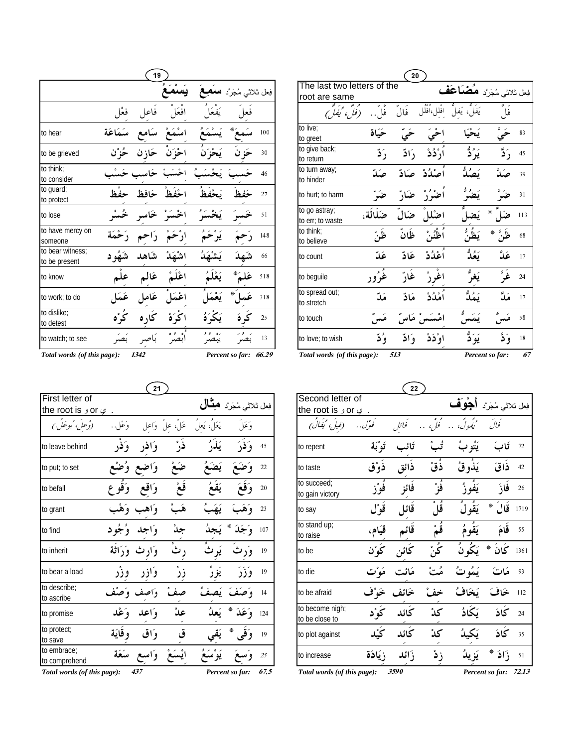|                                   |                        | 19                      |               |          |                                   |     |
|-----------------------------------|------------------------|-------------------------|---------------|----------|-----------------------------------|-----|
|                                   |                        |                         |               |          | فِعل ثلاثي مُجَرَّد <b>سَمَعَ</b> |     |
|                                   |                        | فاعل فعْل               | افعًا         | يَفَعَا  | فعا                               |     |
| to hear                           | اسْمَعْ سَامع سَمَاعَة |                         |               |          |                                   | 100 |
| to be grieved                     |                        | احْزَ`نَ حَازِ`ن حُزْ`ن |               |          |                                   | 30  |
| to think;<br>to consider          | حَاسب حَسْب            |                         |               | يَحْ     |                                   | 46  |
| to guard;<br>to protect           |                        | احْفَظْ حَافظ حفْظ      |               |          |                                   | 27  |
| to lose                           |                        | الخَسَىرْ خَاسْرِ خُسْر |               | يَخْسَرُ |                                   | 51  |
| to have mercy on<br>someone       |                        | ارْحَمْ رَاحِم رَحْمَة  |               | يَرْحَمُ |                                   | 148 |
| to bear witness;<br>to be present | شَهُو د                |                         | اشْهَدْ شَاهد |          | $\hat{\vec{r}}$                   | 66  |
| to know                           |                        | اعْلَمْ عَالَم علْم     |               |          |                                   | 518 |
| to work; to do                    |                        | اعْمَلَ عَامِلِ عَمَل   |               |          |                                   | 318 |
| to dislike;<br>to detest          |                        | $\bullet$               |               |          |                                   | 25  |
| to watch; to see                  | بَصَر                  | بَاصِهِ                 | $\bullet$     |          |                                   | 13  |

|                                   |        | 20     |                    |                                       |                 |     |
|-----------------------------------|--------|--------|--------------------|---------------------------------------|-----------------|-----|
| The last two letters of the       |        |        |                    | فِعل ثلاثي مُجَرَّد <b>مُضَىَاعَف</b> |                 |     |
| root are same                     |        |        |                    |                                       |                 |     |
| (فل مُ يُفل)                      | فا     | فال    | از 10<br>افلل،افلل | ل، يَفل                               | فما             |     |
| to live:<br>to greet              | حَسَاة |        |                    |                                       |                 | 83  |
| to give back;<br>to return        | دَ ڏ   | رَ ادّ | اَرْ دُدْ          | يَدُدُّ                               |                 | 45  |
| to turn away;<br>to hinder        |        | صکادّ  | أصْدُدْ            |                                       |                 | 39  |
| to hurt; to harm                  |        | ضَ     |                    |                                       |                 | 31  |
| to go astray;<br>to err; to waste | ضكالة، | ضاإ    |                    |                                       | ∗               | 113 |
| to think:<br>to believe           |        | ظانّ   |                    |                                       |                 | 68  |
| to count                          | عَدّ   | غاد    | ٱعْدُدْ            | يَعُدُّ                               |                 | 17  |
| to beguile                        |        |        |                    |                                       |                 | 24  |
| to spread out;<br>to stretch      | مَدّ   | مَادّ  |                    |                                       |                 | 17  |
| to touch                          |        |        | امْسَس ْمَاسْ      | ىم                                    |                 | 58  |
| to love; to wish                  | ۇ د    | وَادِّ | او ؓذذ             | يَوَ دُّ                              | وۡ ڏ            | 18  |
| Total words (of this page):       |        | 513    |                    |                                       | Percent so far: | 67  |

*Total words (of this page): 1342 Percent so far:**66.29* 

|                              |                 | 21                            |      |               |                                  |                |
|------------------------------|-----------------|-------------------------------|------|---------------|----------------------------------|----------------|
| First letter of              |                 |                               |      |               | فِعل ثلاثي مُجَرَد <b>هشَّال</b> |                |
| . ي or و the root is         |                 |                               |      |               |                                  |                |
| (وُعِلَ، 'ُيوعَلَ.)          |                 | عَلْ، علْ  وَاعل     وَعْل. . |      | يَعَلُ، يَعلُ | وئجلَ                            |                |
| to leave behind              |                 | وَافر وَفَر                   | ذَرْ | يَلْأَرُ      | وَفَرَ                           | 45             |
| to put; to set               |                 | واضع وُضْع                    | ضَعْ |               | وَضَعَ یَضَعُ                    | 22             |
| to befall                    |                 | وَاقع وَقُوع                  | قَعْ | يَقَعُ        | وَقَعَ                           | 2 <sub>0</sub> |
| to grant                     |                 | وَاهب وَهْب                   | هَبْ | يَهَبُ        | وَهَبَ                           | 23             |
| to find                      | وَاجِدٍ وُجُودٍ |                               |      |               | وَجَدَ * يَجِدُ                  | 107            |
| to inherit                   |                 | وَارِثْ وَرَاثَة              | رثَ  |               | وَرثُ يَوثُ                      | 19             |
| to bear a load               |                 | وَازِر وزْر                   | زرْ  | يَزِرُ        | وَزَرَ                           | 19             |
| to describe:<br>to ascribe   | وَاصِف وَصِنْف  |                               |      |               | وَصَفَ يَصِفُ                    | 14             |
| to promise                   |                 | وَاعِدِ وَعْدِ                | عدْ  | يَعدُ         | $*$<br>وَعَدَ                    | 124            |
| to protect;<br>to save       |                 | وَاق وقَايَة                  | ق    |               | $*$<br>وأقيى                     | 19             |
| to embrace;<br>to comprehend |                 | ايْسَعْ وَاسع سَعَة           |      |               |                                  | 25             |
| Total words (of this page):  |                 | 437                           |      |               | Percent so far:                  | 67.5           |

| Second letter of                             |         |       |      |                 | فِعل ثلاثي مُجَرَّد <b>أَجْوَلَف</b> |       |
|----------------------------------------------|---------|-------|------|-----------------|--------------------------------------|-------|
| the root is $\mathfrak o$ or $\mathfrak c$ . |         |       |      |                 |                                      |       |
| (فيلَ، 'يَفَالُ)                             | ئوۇل. . | فائل  |      | ور<br>نیفیو کُ، | أفالُ                                |       |
| to repent                                    | تَوْبَة | تَائ  |      | يَتُو بُ        | تَابَ                                | 72    |
| to taste                                     | ذوْق    | ذائق  | ذقْ  | يَذُوقُ         | ذاق                                  | 42    |
| to succeed;<br>to gain victory               |         | فائز  | فَرْ | يَفُو؟ُ         | فازَ                                 | 26    |
| to say                                       | قوْل    | قائل  | قا   | يَقُولُ         | قالَ<br>☀                            | 1719  |
| to stand up;<br>to raise                     | قيَام،  | قائم  |      | يَقومُ          | قامَ                                 | 55    |
| to be                                        |         |       | ئُ:ُ | يَكُونُ         | كَانَ *                              | 1361  |
| to die                                       |         | مَائت |      | يَمُو تُ        | مَاتَ                                | 93    |
| to be afraid                                 |         | خائف  |      | يَخافُ          | خاف                                  | 112   |
| to become nigh;<br>to be close to            |         | كائد  | كدْ  | ىكَادُ          | كَادَ                                | 24    |
| to plot against                              |         | كائد  | كذ   | ىكىدُ           | كَادَ                                | 35    |
| to increase                                  | زيَادَة | زَائد | زڈ   |                 | ذَاذَ                                | 51    |
| Total words (of this page):                  |         | 3590  |      |                 | Percent so far:                      | 72.13 |

 $\overline{22}$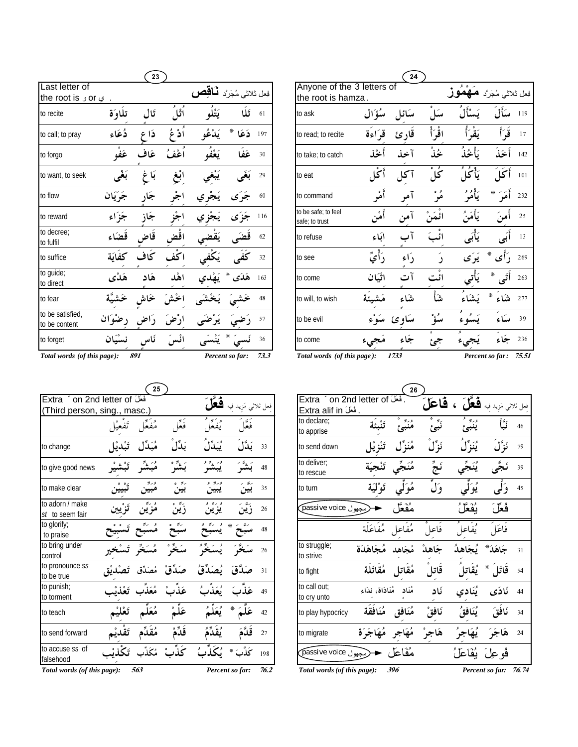|                                                    |          | 23       |                |                                      |                 |      |                                                  |          | 24     |                   |           |                       |           |
|----------------------------------------------------|----------|----------|----------------|--------------------------------------|-----------------|------|--------------------------------------------------|----------|--------|-------------------|-----------|-----------------------|-----------|
| Last letter of<br>the root is $\circ$ or $\circ$ . |          |          |                | فِعل ثلاثي مُجَرَّد فَ <b>أَقْصِ</b> |                 |      | Anyone of the 3 letters of<br>the root is hamza. |          |        |                   |           |                       | فعل ثلاثي |
| to recite                                          | تلاوّة   | تَال     | ٱثْلُ          | يَتْلُو                              | تلا             | 61   | to ask                                           | مِنْؤَال | سَائل  | سکل               | ىسا       | سَأَلَ                | 119       |
| to call; to pray                                   | دُعَاء   | دَا<br>¢ | اَدْ عُ        | يَدْعُه                              | ☀<br>ذَعَا      | 197  | to read; to recite                               | قراءة    | قارئ   | اقْرَأْ           | يَقْرَأُ  | قَرَأَ                | 17        |
| to forgo                                           | عَفْهِ   | عَاف     | أعْفُ          | يَعْفُهِ                             | عَفا            | 30   | to take: to catch                                | اخمذ     | آخذ    | ځذٌ               | ىَأْخُذُ  | أخذ                   | 142       |
| to want, to seek                                   | بَغْي    | بَا غ    | أبغ            | يَبْغي                               | بَغَى           | 29   | to eat                                           | أڭل      | آكل    | $^{\circ}$<br>كُل | يَأْكُلُ  | أكلَ                  | 101       |
| to flow                                            | جَرَيَان | جار      | $\circ$<br>اجر | يجر ي                                | جو ي            | 60   | to command                                       | أمْر     | آمر    | $^{\circ}$<br>مر  | يَأْمُوْ  | أَمَرَ<br>☀           | 232       |
| to reward                                          | جزاء     | جاز      | جز             | يجز ي                                | جز ی            | 116  | to be safe; to feel<br>safe; to trust            | ٰڡٛۥ     | ا می۰٫ | قْمَنْ            | يَأْمَنُ  | أهن                   | 25        |
| to decree:<br>to fulfil                            | قضكاء    | قاض      | اقض            | نقضى                                 |                 | 62   | to refuse                                        | ابَاء    | آ ب    | ائبَ              | يَأْبَى   | أَبَى                 | 13        |
| to suffice                                         | كفاية    | ككاف     | اكف            | كفي                                  |                 | 32   | to see                                           | رَأَيُّ  | داء    |                   | يَرَى     | دأًى<br>☀             | 269       |
| to guide;<br>to direct                             | هَدْي    | هکاد     | اهْد           | يهدى                                 | هَدَى           | 163  | to come                                          | اٿيَان   | آت     | ائت               | يَأتي     | أَتَى                 | 263       |
| to fear                                            |          |          | خش             |                                      |                 | 48   | to will, to wish                                 |          | شاء    | شأ                | يَشَاء    | شاء                   | 277       |
| to be satisfied.<br>to be content                  | َان      |          | ارض            |                                      |                 | 57   | to be evil                                       | سه ء     | ساو ئ  | سۇ                | $\lambda$ | يسكاء                 | 39        |
| to forget                                          | نسْيَان  |          |                |                                      |                 | 36   | to come                                          |          | جًاء   | جى                |           | جَاء                  | 236       |
| Total words (of this page):                        |          | 891      |                |                                      | Percent so far: | 73.3 | Total words (of this page):                      |          | 1733   |                   |           | Percent so far: 75.51 |           |

|                                    | 25     |         |                   |                     |                 |
|------------------------------------|--------|---------|-------------------|---------------------|-----------------|
| Extra * on 2nd letter of فَعَلَ    |        |         | هوآ               |                     |                 |
| (Third person, sing., masc.)       |        |         |                   | فعل ثلاثى مَزيد فيه |                 |
|                                    |        | فَعَا   |                   |                     |                 |
| to change                          |        | ىَدِّا  |                   | ىدَّل               | 33              |
| to give good news                  |        | بَشَّرْ |                   |                     | 48              |
| to make clear                      |        |         | ورين و            |                     | 35              |
| to adorn / make<br>st to seem fair |        | زيېن    | يز ير             |                     | 26              |
| to glorify;<br>to praise           |        |         |                   | ⋇                   | 48              |
| to bring under<br>control          |        |         |                   |                     | 26              |
| to pronounce ss<br>to be true      |        | ق       |                   | ة،                  | $\overline{31}$ |
| to punish;<br>to torment           | مُعَذْ | عَذتْ   | ئعَذَبُ           |                     | 49              |
| to teach                           |        |         |                   | *                   | 42              |
| to send forward                    |        |         |                   |                     | 27              |
| to accuse ss of<br>falsehood       | مُکَا  | كذب     | $\ddot{\epsilon}$ |                     | 198             |
| Total words (of this page):        | 563    |         |                   | Percent so far:     | 76.2            |

|           |                  |                     |      |                                                             |                          | 26                 |                           |                                                 |                       |    |
|-----------|------------------|---------------------|------|-------------------------------------------------------------|--------------------------|--------------------|---------------------------|-------------------------------------------------|-----------------------|----|
|           | فَعَلَ           | فعل ثلاثى مَزيد فيه |      | . فَعَلَ Extra ´on 2nd letter of<br>Extra alif in دَفَعَلَ. |                          |                    |                           | فِعل ثلاثي مَزيد فيه <b>شَعَّلَ ، شَاعَلَ</b> ، |                       |    |
| ر<br>ف    | ويه اقس<br>يفغا  | فَعَلَ              |      | to declare:<br>to apprise                                   |                          | وربو<br>منبئ       | $\overline{\cdot}$<br>نبئ | وربو<br>ينبئ                                    |                       | 46 |
| بَدٰ      | ؽؠؘڐڷٞ           | بَدَّلَ             | 33   | to send down                                                | تَنْزِ يْا               | مُنَزِّل           | ئَزَّلْ                   | ؽڹۜڗڷٞ                                          | نَزَّلَ               | 79 |
| بَن       | يبشرُ            | بَشَرَ              | 48   | to deliver:<br>to rescue                                    |                          | مُنَجِّى تَنْجِيَة | نَحٌ                      | يُنَجّى                                         |                       | 39 |
| ربو<br>بي | وريو و<br>يبين   | رنة -ر<br>بين       | 35   | to turn                                                     | تَوْلَيَة                | مُوَلِّي           | وَلَ                      | يُوَلَى                                         |                       | 45 |
| ڒؙ        | و ربي و<br>يز ين | ڒؘؾٞڹؘ              | 26   | (مجهول passive voice                                        |                          | مُفَعَّل           |                           | بُفَعَلُ                                        | فُعَلَ                |    |
| سُد       | و پی و           | رنت<br>∗            | 48   |                                                             | مُفَاعل مُفَاعَلَة       |                    | فاعل                      | يُفَاعلُ                                        | فاعَل                 |    |
|           |                  |                     | 26   | to struggle;<br>to strive                                   | مُجَاهَدَة               | مُجَاهد            | جَاهدْ                    | ىُجَاهدُ                                        | جَاهَدَ*              | 31 |
|           |                  | صَدَّق              | 31   | to fight                                                    | مُقَاتل مُقَاتَلَة       |                    | فاتل                      | يُقَاتِلُ                                       | $\ast$<br>قاتل        | 54 |
|           | ثَعَذَبُ         | عَذَبَ              | 49   | to call out:<br>to cry unto                                 | مُنَاد مُنَادَاة، نِدَاء |                    | ئاد                       | يُنَادِي                                        | ئادَى                 | 44 |
|           | نُعَلَ           | ⋇                   | 42   | to play hypocricy                                           | مُنَافَقٍ مُنَافَقَة     |                    | نَافقْ                    | يُنَافَقُ                                       | نَافَقَ               | 34 |
| قا        |                  | قَلَّهُ             | 27   | to migrate                                                  | اجَرَة                   |                    | هَاجرْ                    | يُهَاجَرُ                                       | هَاجَرَ               | 24 |
| ىخ        |                  | ػؘۮۛ۠ۥ<br>☀         | 198  | مُفَاعَل → مَجهول passive voice                             |                          |                    |                           | فُو عِلَ ۖ بُفَاعَلُ                            |                       |    |
|           |                  | Percent so far:     | 76.2 | Total words (of this page):                                 |                          | 396                |                           |                                                 | Percent so far: 76.74 |    |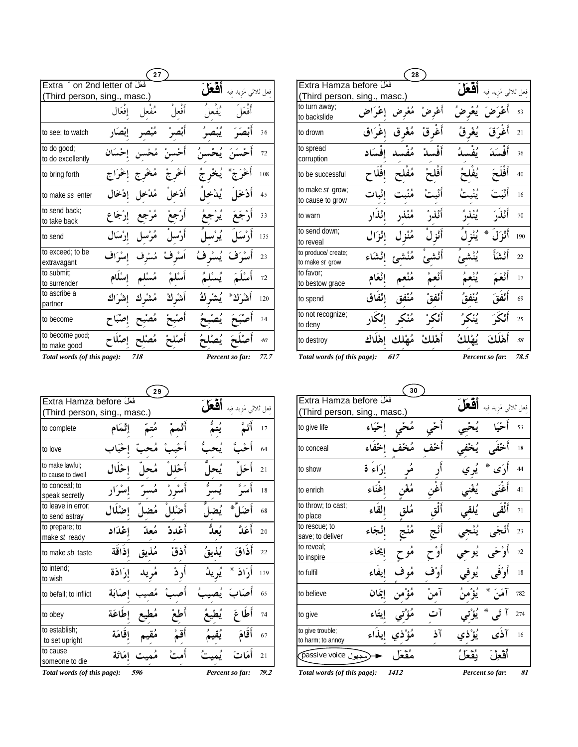| 27                                                    |          |                     |        |             |                |           |  |
|-------------------------------------------------------|----------|---------------------|--------|-------------|----------------|-----------|--|
| Extra  on 2nd letter of فَعَلَ                        |          |                     |        |             |                | فعل ثلاثى |  |
| (Third person, sing., masc.)                          |          |                     |        |             |                |           |  |
|                                                       | إفعال    | مُفعا               | فعا    |             |                |           |  |
| to see; to watch                                      |          |                     |        | و ه         |                | 36        |  |
| to do good;<br>to do excellently                      | احْسَان  | مُحْس               |        | يُحْسنُ     |                | 72        |  |
| to bring forth                                        | إخْرَاج  |                     |        |             |                | 108       |  |
| to make ss enter                                      |          |                     |        |             |                | 45        |  |
| to send back;<br>to take back                         | إرْجَاع  | مُرْجِع             |        | يُرْج       |                | 33        |  |
| to send                                               | إرْسَال  | ه ه<br><b>هو</b> ته |        | ء .<br>يو س |                | 135       |  |
| to exceed; to be<br>extravagant                       | إِسْرَاف | مُسْہ               | أىئە ف | ئىسْ ف      | ف              | 23        |  |
| to submit;<br>to surrender                            | إسْلَام  |                     |        | ءِ<br>پ     |                | 72        |  |
| to ascribe a<br>partner                               | اك       | مُشْر ك             | أشر ك  | يُشْر       | $*_{1}$<br>أشُ | 120       |  |
| to become                                             |          | هُ                  |        |             |                | 34        |  |
| to become good;<br>to make good                       |          | مُص                 |        |             |                | 40        |  |
| Total words (of this page):<br>Percent so far:<br>718 |          |                     |        |             |                | 77.7      |  |

| 28                                                         |          |         |    |       |                 |      |  |  |
|------------------------------------------------------------|----------|---------|----|-------|-----------------|------|--|--|
| Extra Hamza before<br>(Thir <u>d person, sing., masc.)</u> |          |         |    | أفعا  | فعل ثلاثى مَزيد |      |  |  |
| to turn away;<br>to backslide                              | إغراض    | مُعْرض  |    |       |                 | 53   |  |  |
| to drown                                                   |          |         |    |       | أغوَقَ          | 21   |  |  |
| to spread<br>corruption                                    |          |         |    |       | أَفْسَدَ        | 36   |  |  |
| to be successful                                           | إفلا     |         |    |       | أفلحَ           | 40   |  |  |
| to make st grow;<br>to cause to grow                       | إنْبات   |         |    | و ه   | أثمه            | 16   |  |  |
| to warn                                                    | إِنَّذَ  | مُنْذُر |    | و ه و | أَنْذَرَ        | 70   |  |  |
| to send down:<br>to reveal                                 | إِنْزَال |         |    |       | ₩<br>أَنْذَا    | 190  |  |  |
| to produce/ create;<br>to make st grow                     | انشأ     |         |    |       | أنشأ            | 22   |  |  |
| to favor:<br>to bestow grace                               | إنْعَام  |         |    | و ه   |                 | 17   |  |  |
| to spend                                                   | إئفاق    |         |    |       |                 | 69   |  |  |
| to not recognize;<br>to deny                               |          |         |    |       |                 | 25   |  |  |
| to destroy                                                 | اهْلَاك  |         | °ء |       |                 | 58   |  |  |
| Total words (of this page):<br>617<br>Percent so far:      |          |         |    |       |                 | 78.5 |  |  |

| 29                                                    |         |      |         |        |                     |      |  |
|-------------------------------------------------------|---------|------|---------|--------|---------------------|------|--|
| Extra Hamza before                                    |         |      |         | 0 ما ، |                     |      |  |
| (Third person, sing., masc.)                          |         |      |         |        | فعل ثلاثى مَزيد فيه |      |  |
| to complete                                           | ڻمَام   |      |         |        |                     | 17   |  |
| to love                                               |         |      |         |        |                     | 64   |  |
| to make lawful:<br>to cause to dwell                  |         |      |         |        |                     | 21   |  |
| to conceal; to<br>speak secretly                      |         | مىسە |         |        |                     | 18   |  |
| to leave in error;<br>to send astray                  |         |      |         |        | $\ast$              | 68   |  |
| to prepare; to<br>make st ready                       | إعْدَاد |      | أَعْددْ |        | أعَدَّ              | 20   |  |
| to make sb taste                                      | إذاقة   |      | أذقْ    |        | أَذَاقَ             | 22   |  |
| to intend:<br>to wish                                 | إرادَة  |      | , ڈ     |        | أرَادَ<br>∗         | 139  |  |
| to befall; to inflict                                 | انة     |      |         |        |                     | 65   |  |
| to obey                                               | إطاعَة  |      |         |        | ۶                   | 74   |  |
| to establish;<br>to set upright                       | إقامَة  |      |         |        | أقامَ               | 67   |  |
| to cause<br>someone to die                            | امَاتَة |      |         |        | أَمَاتَ             | 21   |  |
| Total words (of this page):<br>Percent so far:<br>596 |         |      |         |        |                     | 79.2 |  |

|                                                               | 30       |  |    |  |      |     |  |  |
|---------------------------------------------------------------|----------|--|----|--|------|-----|--|--|
| Extra Hamza before<br>فعل ثلا<br>(Third person, sing., masc.) |          |  |    |  |      |     |  |  |
| to give life                                                  |          |  |    |  |      | 53  |  |  |
| to conceal                                                    |          |  |    |  |      | 18  |  |  |
| to show                                                       | إرَاءِ ة |  |    |  | ∗    | 44  |  |  |
| to enrich                                                     | إغناء    |  |    |  |      | 41  |  |  |
| to throw; to cast;<br>to place                                | القاء    |  |    |  |      | 71  |  |  |
| to rescue; to<br>save; to deliver                             | إنْجَاء  |  |    |  |      | 23  |  |  |
| to reveal;<br>to inspire                                      | إيحاء    |  |    |  |      | 72  |  |  |
| to fulfil                                                     |          |  |    |  |      | 18  |  |  |
| to believe                                                    |          |  |    |  | ⋇    | 782 |  |  |
| to give                                                       |          |  |    |  | ⋇    | 274 |  |  |
| to give trouble;<br>to harm; to annoy                         | اء       |  | آذ |  |      | 16  |  |  |
| مجهول passive voice)                                          |          |  |    |  | أفعا |     |  |  |
| Total words (of this page):<br>1412<br>Percent so far:        |          |  |    |  | 81   |     |  |  |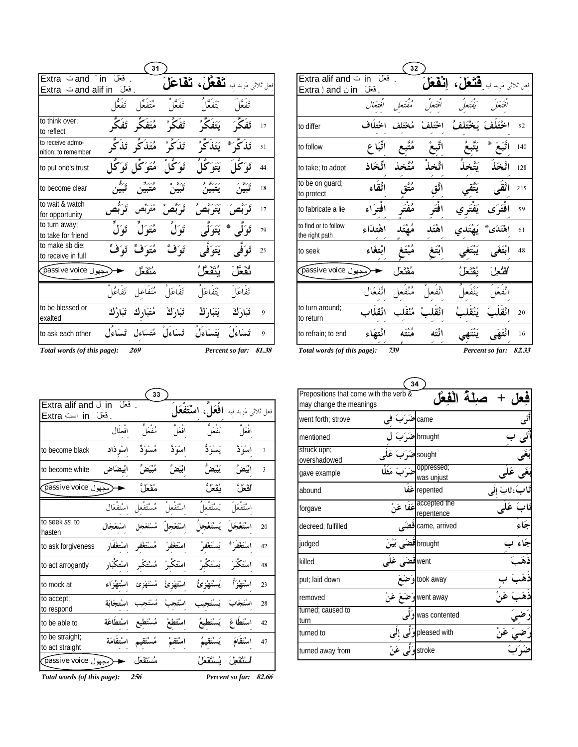| 31                                                    |           |                                 |                                    |                                                |               |                |  |
|-------------------------------------------------------|-----------|---------------------------------|------------------------------------|------------------------------------------------|---------------|----------------|--|
| فَعَلَ Extra ت Extra<br>and alif inش Extra            | . فَعَلَ  |                                 |                                    | نعل ثلاثي مَزيد فيه <b>تَفْعَلَ، تَفْاعَلَ</b> |               |                |  |
|                                                       |           | مُتَفَعَّل تَفَعُّا             | تَفَعَّلُ                          | يَتَفَعَّا ُ                                   | تَفَعَّا      |                |  |
| to think over:<br>to reflect                          |           | مُتَفَكِّر تَفَكَّ              | ئَفَكُمْ ٗ                         | َ يَتَفَكَّرُ <i>'</i>                         | تفكآ          | 17             |  |
| to receive admo-<br>nition: to remember               |           |                                 | ِ تَذَكُّرْ ٰ مُتَذَكِّرِ تَذَكُّر | تَذَكَّرَ * يَتَذَكَّرُ                        |               | 51             |  |
| to put one's trust                                    |           | هُتَوَ كَل تَوَ كُل             | تَوَ کٌا ُ                         | يَتَوَكَّلُ                                    | تَوَكَّا      | 44             |  |
| to become clear                                       |           |                                 |                                    |                                                |               | 18             |  |
| to wait & watch<br>for opportunity                    |           | مُتَرَبِّص تَو <sup>ت</sup> ُص  |                                    |                                                |               | 17             |  |
| to turn away;<br>to take for friend                   |           | هُتَوَلَٰ تَوَلَ                | تَوَل                              | يَتَوَلَّى                                     | ∗<br>تَوَ کمہ | 79             |  |
| to make sb die;<br>to receive in full                 | تَوَفٍّ   | مُتَوَفِّ                       | تَوَفَّ                            | يَتَوَفَّع                                     | تَوَكَّحَ     | 25             |  |
| مجهول passive voice                                   |           | مُنَفَعًا ،                     |                                    | ؠۢٮۘۘٞڷؘڠؘؘٙڡؖڵؙ                               | ثفغل          |                |  |
|                                                       | تَفَاعُلْ | مُتَفَاعل                       | تفاعَلَ                            | يَتَفَاعَلُ                                    | تفاعَلَ       |                |  |
| to be blessed or<br>exalted                           |           | تَبَارَكْ مُتَبَارِك تَبَارُك   |                                    | يَتَبَارَكُ                                    | تَبَارَكَ     | $\overline{9}$ |  |
| to ask each other                                     |           | تَسَاءَلْ مُتَسَاءِلِ تَسَاءُلِ |                                    | يَتَسَاءَلُ                                    | تساءَلَ       | 9              |  |
| 269<br>Total words (of this page):<br>Percent so far: |           |                                 |                                    |                                                |               | 81.38          |  |

| 32                                      |                  |       |          |           |                 |       |  |
|-----------------------------------------|------------------|-------|----------|-----------|-----------------|-------|--|
| in ت Extra alif and<br>in ن Extra ! and | فعلَ<br>. فَعَلَ |       | انْفَعَا | فَتَعَلَ، |                 |       |  |
|                                         | افتعال           | مفتعل |          |           |                 |       |  |
| to differ                               |                  |       |          |           |                 | 52    |  |
| to follow                               |                  | و ت   |          |           | ⋇               | 140   |  |
| to take; to adopt                       | تّخاذ            |       |          |           |                 | 128   |  |
| to be on guard;<br>to protect           | تِّقاء           |       |          |           |                 | 215   |  |
| to fabricate a lie                      | افتراء           |       |          |           |                 | 59    |  |
| to find or to follow<br>the right path  | اهْتدَاء         |       | اهْتَد   |           |                 | 61    |  |
| to seek                                 |                  |       |          |           |                 | 48    |  |
| وجهول passive voice                     |                  |       |          | ئقت       | أقثع            |       |  |
|                                         | انفعَال          |       |          |           |                 |       |  |
| to turn around;<br>to return            |                  |       |          |           |                 | 20    |  |
| to refrain; to end                      | نتهاء            |       |          |           |                 | 16    |  |
| Total words (of this page):             |                  | 739   |          |           | Percent so far: | 82,33 |  |

 $\overline{\phantom{0}}$ اسْتَفَعَل<br>مُستَفَعَل فِعل ثلاثي مَزِيد فِيه **افْعَل، ا**<br>مُسْتَمَلُّ<br>افْعَلَّ يَفْعَلُّ افعلال<br>-و° عا افْعَلَّ يَفْعَلَّ ا<br>. to become black ""-H-اِسْوَدَّ مُسْوَدٍّ<br>ِ<br>ابْيَضَّ مُبْيَضٍّ اِسْوَدَّ يَسْوَدُّ<br>كِيسْمَسْ يَبْيَضُّ  $\overline{\mathbf{3}}$ to become white ] Y-اب<br>-<br>-ابْيَضَّ اِبْيَضَّ يَبْيَضَّ اِ<br>رَبِّ<br>اُمْ آتَ يُمْ آ  $\overline{\mathbf{3}}$ هلَّ نَّ يُقْعَلُّ مُقْ اقعلَّ اسْتِفْعَال<br>س ول مُسْتَفْعِل إ اسْتَفْعا يَسْتَفْعَلَ اسْتَفْعَلَ ا<br>. to seek *ss* to hasten اسْتعْجَال عِل مُسْتَغْجِل اِ<br>مستقطع<br>مستقطعی اسْتَغْجِلْ<br>ـــــــــــــــــ<br>اسْتَغْفَرْ <sub>،</sub> يَسْتَعْجِل اِ<br>سيمتشكر م 6k#H-20 اسْتَعْجَلَ to ask forgiveness 2 -Qr-اسْتغْفَار -QrA -QrH-نموَ\* يَسْتَغْفَوُ |<br>|-<br>|- \_ \_ \_ \_ \_ \_ \_ \_ \_ \_ \_ \_ \_ \_ \_ \_ QrH- $42$ to act arrogantly 2 :I-اسْۃ<br>۔۔<br>اس بِرْ مُسْتَكْبِرِ اِ<br>\_\_\_\_\_\_\_\_\_\_\_\_\_\_\_\_\_\_\_\_\_\_\_\_<br>مثار تشناعات :IH-بو<sup>ر</sup> !<br>-<br>- مه اسْتَكْبَرَ  $\sqrt{48}$ to mock at P -H w-P A w-اسْتَهْزِئْ w-P A -اسْتَهْزَأ  $2\sqrt{3}$ to accept; to accept;<br>to respond to respond اسٌة<br>—<br>است مِبْ مُسْتَجِيبِ اِ<br>كَسَبَ مَسْتَجِيب<br>مَاءٌ مُ تُبْعَلُوهِ ا kH- S-اسْتَجَابَ  $2\sqrt{8}$ to be able to ZB -H-تط<br>-<br>"مَّا لمعْ مُسْتَطِيعِ اِ<br>مَسْتَضَمَّةٍ XH- F-اسْتَطَاعَ يَسْتَطِ<br>كَسَبَرَ<br>لِدِيْتَهَلَّقَ يَرْتَقَ  $42\,$ to be straight; to act straight Z -passive voice ¿` J-H- -JA -اسْتَقَمْ يَسْتَقيمُ JA 1 -- اسْتَقَامَ 47 طُنُ مُسْتَقْعَل َ يُسْتَقْعَا . فَعَلَ in لَـ Extra alif and أَ . فعَلَ in است Extra  $\sqrt{33}$ passive voice ¿`

*Total words (of this page):* 256 *Percent so far:* 82.66

| Prepositions that come with the verb &<br>فعار |                         |                                        |     |  |  |  |  |
|------------------------------------------------|-------------------------|----------------------------------------|-----|--|--|--|--|
| may change the meanings                        |                         |                                        |     |  |  |  |  |
| went forth: strove                             |                         | came <b> حنہ</b>                       |     |  |  |  |  |
| mentioned                                      |                         | brought حَبَرَ                         |     |  |  |  |  |
| struck upn;<br>overshadowed                    |                         | sought                                 |     |  |  |  |  |
| gave example                                   | ےَ مَثَلًا              | oppressed;<br>was unjust               |     |  |  |  |  |
| abound                                         |                         | repented <b>کف</b>                     |     |  |  |  |  |
| forgave                                        |                         | accepted the عَفَاً عَنْ<br>repentence |     |  |  |  |  |
| decreed; fulfilled                             |                         | came, arrived قضا                      | خاء |  |  |  |  |
| judged                                         | brought قضَی بَیْنَ     |                                        |     |  |  |  |  |
| killed                                         |                         | wentساقضة                              |     |  |  |  |  |
| put; laid down                                 |                         | took away او َضَهَ                     |     |  |  |  |  |
| removed                                        |                         | went away وَضَعَ عَنْ                  |     |  |  |  |  |
| turned; caused to<br>turn                      |                         | was contented وَلَم                    |     |  |  |  |  |
| turned to                                      |                         | pleased with وَلَى إِلَى               |     |  |  |  |  |
| turned away from                               | stroke <b>وَلی عَنْ</b> |                                        |     |  |  |  |  |